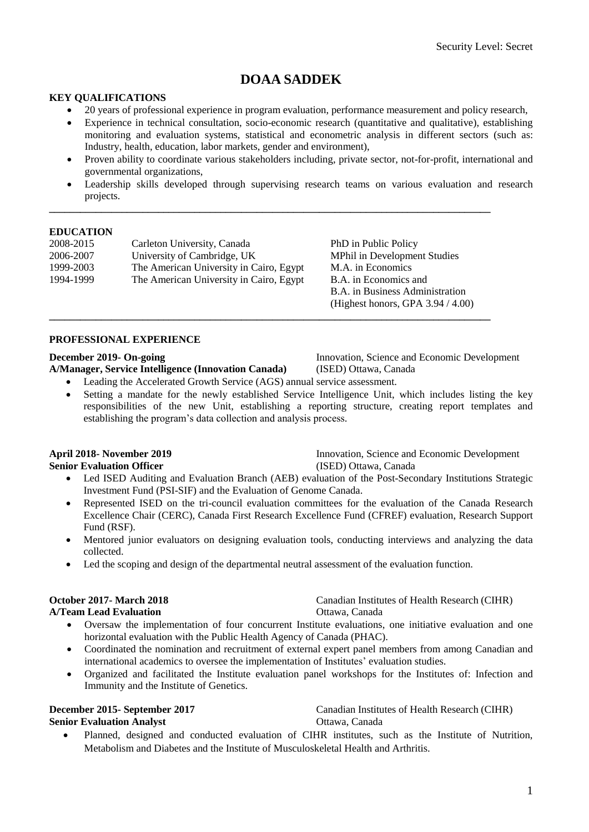# **DOAA SADDEK**

#### **KEY QUALIFICATIONS**

- 20 years of professional experience in program evaluation, performance measurement and policy research,
- Experience in technical consultation, socio-economic research (quantitative and qualitative), establishing monitoring and evaluation systems, statistical and econometric analysis in different sectors (such as: Industry, health, education, labor markets, gender and environment),
- Proven ability to coordinate various stakeholders including, private sector, not-for-profit, international and governmental organizations,
- Leadership skills developed through supervising research teams on various evaluation and research projects.

**\_\_\_\_\_\_\_\_\_\_\_\_\_\_\_\_\_\_\_\_\_\_\_\_\_\_\_\_\_\_\_\_\_\_\_\_\_\_\_\_\_\_\_\_\_\_\_\_\_\_\_\_\_\_\_\_\_\_\_\_\_\_\_\_\_\_\_\_\_\_\_\_\_\_\_\_\_\_\_\_\_\_\_\_\_**

**\_\_\_\_\_\_\_\_\_\_\_\_\_\_\_\_\_\_\_\_\_\_\_\_\_\_\_\_\_\_\_\_\_\_\_\_\_\_\_\_\_\_\_\_\_\_\_\_\_\_\_\_\_\_\_\_\_\_\_\_\_\_\_\_\_\_\_\_\_\_\_\_\_\_\_\_\_\_\_\_\_\_\_\_\_**

#### **EDUCATION**

| 2008-2015 | Carleton University, Canada             |
|-----------|-----------------------------------------|
| 2006-2007 | University of Cambridge, UK             |
| 1999-2003 | The American University in Cairo, Egypt |
| 1994-1999 | The American University in Cairo, Egypt |
|           |                                         |

PhD in Public Policy **MPhil in Development Studies** M.A. in Economics B.A. in Economics and B.A. in Business Administration (Highest honors, GPA 3.94 / 4.00)

#### **PROFESSIONAL EXPERIENCE**

**A/Manager, Service Intelligence (Innovation Canada)** (ISED) Ottawa, Canada

**December 2019- On-going Science and Economic Development** Innovation, Science and Economic Development

- Leading the Accelerated Growth Service (AGS) annual service assessment.
- Setting a mandate for the newly established Service Intelligence Unit, which includes listing the key responsibilities of the new Unit, establishing a reporting structure, creating report templates and establishing the program's data collection and analysis process.

**April 2018- November 2019** Innovation, Science and Economic Development **Senior Evaluation Officer** (ISED) Ottawa, Canada

- Led ISED Auditing and Evaluation Branch (AEB) evaluation of the Post-Secondary Institutions Strategic Investment Fund (PSI-SIF) and the Evaluation of Genome Canada.
- Represented ISED on the tri-council evaluation committees for the evaluation of the Canada Research Excellence Chair (CERC), Canada First Research Excellence Fund (CFREF) evaluation, Research Support Fund (RSF).
- Mentored junior evaluators on designing evaluation tools, conducting interviews and analyzing the data collected.
- Led the scoping and design of the departmental neutral assessment of the evaluation function.

**October 2017- March 2018** Canadian Institutes of Health Research (CIHR) **A/Team Lead Evaluation** Ottawa, Canada

- Oversaw the implementation of four concurrent Institute evaluations, one initiative evaluation and one horizontal evaluation with the Public Health Agency of Canada (PHAC).
- Coordinated the nomination and recruitment of external expert panel members from among Canadian and international academics to oversee the implementation of Institutes' evaluation studies.
- Organized and facilitated the Institute evaluation panel workshops for the Institutes of: Infection and Immunity and the Institute of Genetics.

# **Senior Evaluation Analyst Canada** Ottawa, Canada

**December 2015-** September 2017 Canadian Institutes of Health Research (CIHR)

 Planned, designed and conducted evaluation of CIHR institutes, such as the Institute of Nutrition, Metabolism and Diabetes and the Institute of Musculoskeletal Health and Arthritis.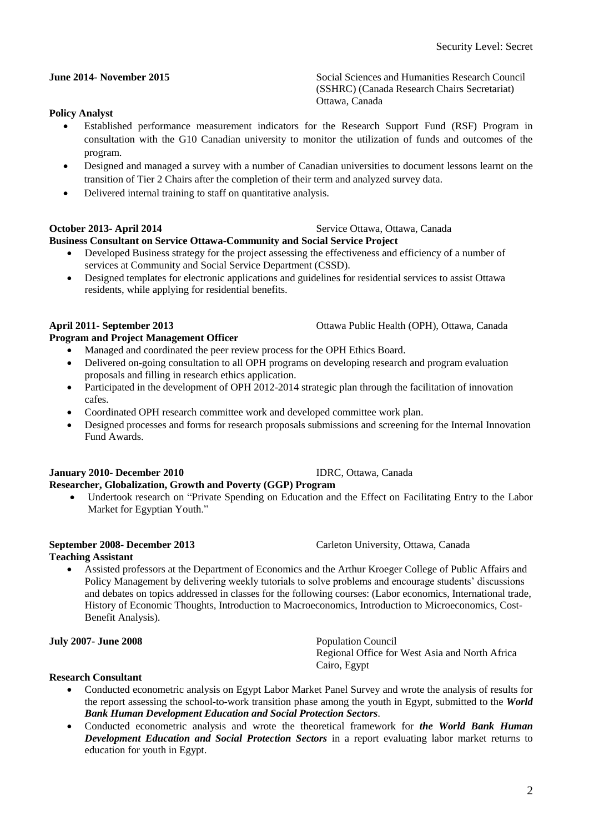# **June 2014- November 2015** Social Sciences and Humanities Research Council

## **Policy Analyst**

 Established performance measurement indicators for the Research Support Fund (RSF) Program in consultation with the G10 Canadian university to monitor the utilization of funds and outcomes of the program.

Ottawa, Canada

- Designed and managed a survey with a number of Canadian universities to document lessons learnt on the transition of Tier 2 Chairs after the completion of their term and analyzed survey data.
- Delivered internal training to staff on quantitative analysis.

### **October 2013- April 2014** Service Ottawa, Ottawa, Canada

### **Business Consultant on Service Ottawa-Community and Social Service Project**

- Developed Business strategy for the project assessing the effectiveness and efficiency of a number of services at Community and Social Service Department (CSSD).
- Designed templates for electronic applications and guidelines for residential services to assist Ottawa residents, while applying for residential benefits.

### **April 2011- September 2013** Ottawa Public Health (OPH), Ottawa, Canada

#### **Program and Project Management Officer**

- Managed and coordinated the peer review process for the OPH Ethics Board.
- Delivered on-going consultation to all OPH programs on developing research and program evaluation proposals and filling in research ethics application.
- Participated in the development of OPH 2012-2014 strategic plan through the facilitation of innovation cafes.
- Coordinated OPH research committee work and developed committee work plan.
- Designed processes and forms for research proposals submissions and screening for the Internal Innovation Fund Awards.

#### **January 2010- December 2010** IDRC, Ottawa, Canada **Researcher, Globalization, Growth and Poverty (GGP) Program**

 Undertook research on "Private Spending on Education and the Effect on Facilitating Entry to the Labor Market for Egyptian Youth."

#### **September 2008- December 2013** Carleton University, Ottawa, Canada

#### **Teaching Assistant**

 Assisted professors at the Department of Economics and the Arthur Kroeger College of Public Affairs and Policy Management by delivering weekly tutorials to solve problems and encourage students' discussions and debates on topics addressed in classes for the following courses: (Labor economics, International trade, History of Economic Thoughts, Introduction to Macroeconomics, Introduction to Microeconomics, Cost-Benefit Analysis).

#### **July 2007- June 2008** Population Council

### **Research Consultant**

 Conducted econometric analysis on Egypt Labor Market Panel Survey and wrote the analysis of results for the report assessing the school-to-work transition phase among the youth in Egypt, submitted to the *World Bank Human Development Education and Social Protection Sectors*.

Cairo, Egypt

 Conducted econometric analysis and wrote the theoretical framework for *the World Bank Human Development Education and Social Protection Sectors* in a report evaluating labor market returns to education for youth in Egypt.

(SSHRC) (Canada Research Chairs Secretariat)

Regional Office for West Asia and North Africa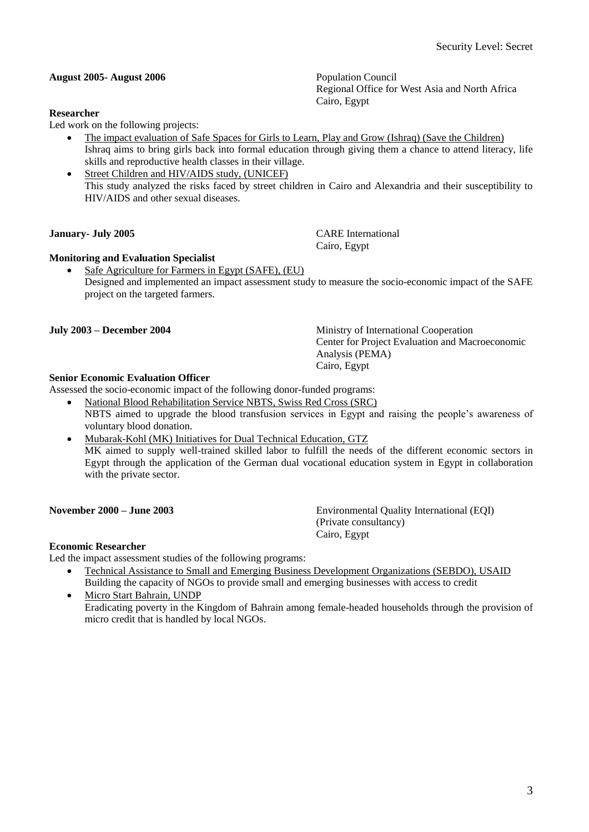Regional Office for West Asia and North Africa

**August 2005- August 2006** Population Council

#### **Researcher**

Led work on the following projects:

- The impact evaluation of Safe Spaces for Girls to Learn, Play and Grow (Ishraq) (Save the Children) Ishraq aims to bring girls back into formal education through giving them a chance to attend literacy, life skills and reproductive health classes in their village.
- Street Children and HIV/AIDS study, (UNICEF) This study analyzed the risks faced by street children in Cairo and Alexandria and their susceptibility to HIV/AIDS and other sexual diseases.

### **January- July 2005** CARE International

### **Monitoring and Evaluation Specialist**

 Safe Agriculture for Farmers in Egypt (SAFE), (EU) Designed and implemented an impact assessment study to measure the socio-economic impact of the SAFE project on the targeted farmers.

### **July 2003 – December 2004** Ministry of International Cooperation

### **Senior Economic Evaluation Officer**

Assessed the socio-economic impact of the following donor-funded programs:

- National Blood Rehabilitation Service NBTS, Swiss Red Cross (SRC) NBTS aimed to upgrade the blood transfusion services in Egypt and raising the people's awareness of voluntary blood donation.
- Mubarak-Kohl (MK) Initiatives for Dual Technical Education, GTZ MK aimed to supply well-trained skilled labor to fulfill the needs of the different economic sectors in Egypt through the application of the German dual vocational education system in Egypt in collaboration with the private sector.

#### **November 2000 – June 2003** Environmental Quality International (EQI) (Private consultancy) Cairo, Egypt

Center for Project Evaluation and Macroeconomic

**Economic Researcher** Led the impact assessment studies of the following programs:

- Technical Assistance to Small and Emerging Business Development Organizations (SEBDO), USAID Building the capacity of NGOs to provide small and emerging businesses with access to credit
- Micro Start Bahrain, UNDP Eradicating poverty in the Kingdom of Bahrain among female-headed households through the provision of micro credit that is handled by local NGOs.

Cairo, Egypt

Analysis (PEMA) Cairo, Egypt

Cairo, Egypt